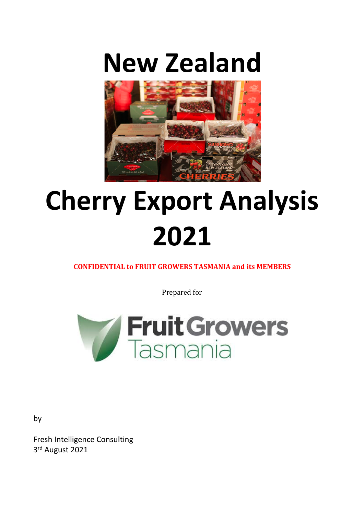# **New Zealand**



# **Cherry Export Analysis 2021**

**CONFIDENTIAL to FRUIT GROWERS TASMANIA and its MEMBERS** 

Prepared for



Fresh Intelligence Consulting 3rd August 2021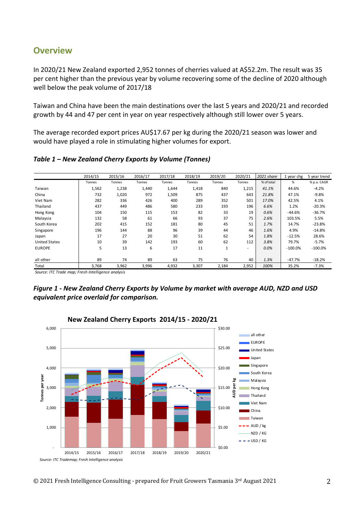## **Overview**

In 2020/21 New Zealand exported 2,952 tonnes of cherries valued at A\$52.2m. The result was 35 per cent higher than the previous year by volume recovering some of the decline of 2020 although well below the peak volume of 2017/18

Taiwan and China have been the main destinations over the last 5 years and 2020/21 and recorded growth by 44 and 47 per cent in year on year respectively although still lower over 5 years.

The average recorded export prices AU\$17.67 per kg during the 2020/21 season was lower and would have played a role in stimulating higher volumes for export.

*Table 1 – New Zealand Cherry Exports by Volume (Tonnes)*

|                      | 2014/15 | 2015/16 | 2016/17 | 2017/18 | 2018/19 | 2019/20 | 2020/21 | 2021 share | 1 year chg | 5 year trend |
|----------------------|---------|---------|---------|---------|---------|---------|---------|------------|------------|--------------|
|                      | Tonnes  | Tonnes  | Tonnes  | Tonnes  | Tonnes  | Tonnes  | Tonnes  | % of total | %          | % p.a. CAGR  |
| Taiwan               | 1,562   | 1,238   | 1,440   | 1,644   | 1,418   | 840     | 1,215   | 41.1%      | 44.6%      | $-4.2%$      |
| China                | 732     | 1,020   | 972     | 1,509   | 875     | 437     | 643     | 21.8%      | 47.1%      | $-9.8%$      |
| Viet Nam             | 282     | 336     | 426     | 400     | 289     | 352     | 501     | 17.0%      | 42.5%      | 4.1%         |
| Thailand             | 437     | 449     | 486     | 580     | 233     | 193     | 196     | 6.6%       | 1.2%       | $-20.3%$     |
| Hong Kong            | 104     | 150     | 115     | 153     | 82      | 33      | 19      | 0.6%       | $-44.6%$   | $-36.7%$     |
| Malaysia             | 132     | 58      | 61      | 66      | 93      | 37      | 75      | 2.6%       | 103.5%     | 5.5%         |
| South Korea          | 202     | 415     | 152     | 181     | 80      | 45      | 51      | 1.7%       | 14.7%      | $-23.8%$     |
| Singapore            | 196     | 144     | 88      | 96      | 39      | 44      | 46      | 1.6%       | 4.9%       | $-14.8%$     |
| Japan                | 17      | 27      | 20      | 30      | 51      | 62      | 54      | 1.8%       | $-12.5%$   | 28.6%        |
| <b>United States</b> | 10      | 39      | 142     | 193     | 60      | 62      | 112     | 3.8%       | 79.7%      | $-5.7%$      |
| <b>EUROPE</b>        | 5       | 13      | 6       | 17      | 11      | 1       |         | 0.0%       | $-100.0\%$ | $-100.0%$    |
|                      |         |         |         |         |         |         |         |            |            |              |
| all other            | 89      | 74      | 89      | 63      | 75      | 76      | 40      | 1.3%       | $-47.7%$   | $-18.2%$     |
| Total                | 3,768   | 3,962   | 3,996   | 4,932   | 3,307   | 2,184   | 2,952   | 100%       | 35.2%      | $-7.3%$      |

*Source: ITC Trade map; Fresh Intelligence analysis*

*Figure 1 - New Zealand Cherry Exports by Volume by market with average AUD, NZD and USD equivalent price overlaid for comparison.*



#### **New Zealand Cherry Exports 2014/15 - 2020/21**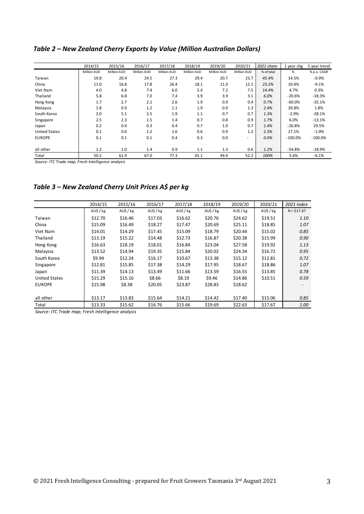#### *Table 2 – New Zealand Cherry Exports by Value (Million Australian Dollars)*

|                      | 2014/15     | 2015/16     | 2016/17     | 2017/18     | 2018/19     | 2019/20     | 2020/21                  | 2021 share | 1 year chg | 5 year trend |
|----------------------|-------------|-------------|-------------|-------------|-------------|-------------|--------------------------|------------|------------|--------------|
|                      | Million AUD | Million AUD | Million AUD | Million AUD | Million AUD | Million AUD | Million AUD              | % of total | %          | % p.a. CAGR  |
| Taiwan               | 19.8        | 20.4        | 24.5        | 27.3        | 29.4        | 20.7        | 23.7                     | 45.4%      | 14.5%      | $-0.9%$      |
| China                | 11.0        | 16.8        | 17.8        | 26.4        | 18.1        | 11.0        | 12.1                     | 23.2%      | 10.4%      | $-9.1%$      |
| Viet Nam             | 4.0         | 4.8         | 7.4         | 6.0         | 5.4         | 7.2         | 7.5                      | 14.4%      | 4.7%       | 0.3%         |
| Thailand             | 5.8         | 6.8         | 7.0         | 7.4         | 3.9         | 3.9         | 3.1                      | 6.0%       | $-20.6%$   | $-18.3%$     |
| Hong Kong            | 1.7         | 2.7         | 2.1         | 2.6         | 1.9         | 0.9         | 0.4                      | 0.7%       | $-60.0%$   | $-35.1%$     |
| Malaysia             | 1.8         | 0.9         | 1.2         | 1.1         | 1.9         | 0.9         | 1.3                      | 2.4%       | 39.8%      | 1.8%         |
| South Korea          | 2.0         | 5.1         | 2.5         | 1.9         | 1.1         | 0.7         | 0.7                      | 1.3%       | $-2.9%$    | $-28.1%$     |
| Singapore            | 2.5         | 2.3         | 1.5         | 1.4         | 0.7         | 0.8         | 0.9                      | 1.7%       | 6.0%       | $-13.1%$     |
| Japan                | 0.2         | 0.4         | 0.3         | 0.4         | 0.7         | 1.0         | 0.7                      | 1.4%       | $-26.8%$   | 29.5%        |
| <b>United States</b> | 0.1         | 0.6         | 1.2         | 1.6         | 0.6         | 0.9         | 1.2                      | 2.3%       | 27.1%      | $-1.0%$      |
| <b>EUROPE</b>        | 0.1         | 0.1         | 0.1         | 0.4         | 0.3         | 0.0         | $\overline{\phantom{a}}$ | 0.0%       | $-100.0\%$ | $-100.0%$    |
| all other            | 1.2         | 1.0         | 1.4         | 0.9         | 1.1         | 1.3         | 0.6                      | 1.2%       | $-54.8%$   | $-18.9%$     |
| Total                | 50.2        | 61.9        | 67.0        | 77.3        | 65.1        | 49.4        | 52.2                     | 100%       | 5.6%       | $-6.1%$      |

*Source: ITC Trade map; Fresh Intelligence analysis*

# *Table 3 – New Zealand Cherry Unit Prices A\$ per kg*

|                      | 2014/15      | 2015/16      | 2016/17      | 2017/18      | 2018/19      | 2019/20      | 2020/21      | 2021 index   |
|----------------------|--------------|--------------|--------------|--------------|--------------|--------------|--------------|--------------|
|                      | $AU$$ / $kg$ | $AU$$ / $kg$ | $AU$$ / $kg$ | $AU$$ / $kg$ | $AU$$ / $kg$ | $AU$$ / $kg$ | $AU$$ / $kg$ | $N = $17.67$ |
| Taiwan               | \$12.70      | \$16.46      | \$17.03      | \$16.62      | \$20.76      | \$24.62      | \$19.51      | 1.10         |
| China                | \$15.09      | \$16.49      | \$18.27      | \$17.47      | \$20.69      | \$25.11      | \$18.85      | 1.07         |
| Viet Nam             | \$14.01      | \$14.29      | \$17.45      | \$15.09      | \$18.79      | \$20.44      | \$15.02      | 0.85         |
| Thailand             | \$13.19      | \$15.22      | \$14.48      | \$12.73      | \$16.87      | \$20.38      | \$15.99      | 0.90         |
| Hong Kong            | \$16.63      | \$18.19      | \$18.01      | \$16.84      | \$23.04      | \$27.58      | \$19.92      | 1.13         |
| Malaysia             | \$13.52      | \$14.94      | \$19.35      | \$15.84      | \$20.02      | \$24.34      | \$16.72      | 0.95         |
| South Korea          | \$9.94       | \$12.24      | \$16.17      | \$10.67      | \$13.38      | \$15.12      | \$12.81      | 0.72         |
| Singapore            | \$12.81      | \$15.85      | \$17.38      | \$14.29      | \$17.95      | \$18.67      | \$18.86      | 1.07         |
| Japan                | \$11.39      | \$14.13      | \$13.49      | \$11.66      | \$13.59      | \$16.55      | \$13.85      | 0.78         |
| <b>United States</b> | \$15.29      | \$15.16      | \$8.66       | \$8.19       | \$9.46       | \$14.86      | \$10.51      | 0.59         |
| <b>EUROPE</b>        | \$15.98      | \$8.38       | \$20.05      | \$23.87      | \$28.83      | \$18.62      |              |              |
|                      |              |              |              |              |              |              |              |              |
| all other            | \$13.17      | \$13.83      | \$15.64      | \$14.21      | \$14.42      | \$17.40      | \$15.06      | 0.85         |
| Total                | \$13.33      | \$15.62      | \$16.76      | \$15.66      | \$19.69      | \$22.63      | \$17.67      | 1.00         |

*Source: ITC Trade map; Fresh Intelligence analysis*